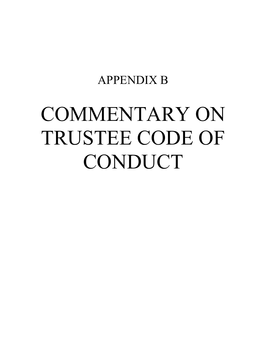# APPENDIX B

# COMMENTARY ON TRUSTEE CODE OF CONDUCT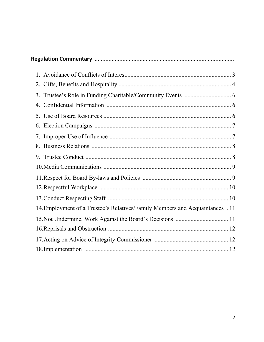| 14. Employment of a Trustee's Relatives/Family Members and Acquaintances . 11 |
|-------------------------------------------------------------------------------|
| 15. Not Undermine, Work Against the Board's Decisions  11                     |
|                                                                               |
|                                                                               |
|                                                                               |
|                                                                               |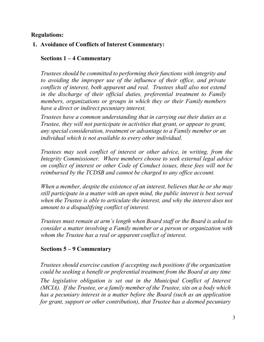## **Regulations:**

#### **1. Avoidance of Conflicts of Interest Commentary:**

#### **Sections 1 – 4 Commentary**

*Trustees should be committed to performing their functions with integrity and to avoiding the improper use of the influence of their office, and private conflicts of interest, both apparent and real. Trustees shall also not extend in the discharge of their official duties, preferential treatment to Family members, organizations or groups in which they or their Family members have a direct or indirect pecuniary interest.*

*Trustees have a common understanding that in carrying out their duties as a Trustee, they will not participate in activities that grant, or appear to grant, any special consideration, treatment or advantage to a Family member or an individual which is not available to every other individual.*

*Trustees may seek conflict of interest or other advice, in writing, from the Integrity Commissioner. Where members choose to seek external legal advice on conflict of interest or other Code of Conduct issues, these fees will not be reimbursed by the TCDSB and cannot be charged to any office account.*

*When a member, despite the existence of an interest, believes that he or she may still participate in a matter with an open mind, the public interest is best served when the Trustee is able to articulate the interest, and why the interest does not amount to a disqualifying conflict of interest.*

*Trustees must remain at arm's length when Board staff or the Board is asked to consider a matter involving a Family member or a person or organization with whom the Trustee has a real or apparent conflict of interest.*

# **Sections 5 – 9 Commentary**

*Trustees should exercise caution if accepting such positions if the organization could be seeking a benefit or preferential treatment from the Board at any time The legislative obligation is set out in the Municipal Conflict of Interest (MCIA). If the Trustee, or a family member of the Trustee, sits on a body which has a pecuniary interest in a matter before the Board (such as an application for grant, support or other contribution), that Trustee has a deemed pecuniary*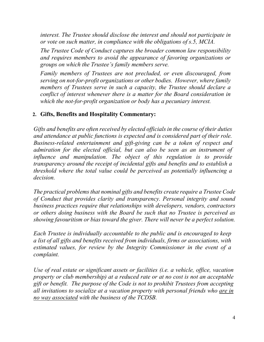*interest. The Trustee should disclose the interest and should not participate in or vote on such matter, in compliance with the obligations of s.5, MCIA.*

*The Trustee Code of Conduct captures the broader common law responsibility and requires members to avoid the appearance of favoring organizations or groups on which the Trustee's family members serve.* 

*Family members of Trustees are not precluded, or even discouraged, from serving on not-for-profit organizations or other bodies. However, where family members of Trustees serve in such a capacity, the Trustee should declare a conflict of interest whenever there is a matter for the Board consideration in which the not-for-profit organization or body has a pecuniary interest.*

# **2. Gifts, Benefits and Hospitality Commentary:**

*Gifts and benefits are often received by elected officials in the course of their duties and attendance at public functions is expected and is considered part of their role. Business-related entertainment and gift-giving can be a token of respect and admiration for the elected official, but can also be seen as an instrument of influence and manipulation. The object of this regulation is to provide transparency around the receipt of incidental gifts and benefits and to establish a threshold where the total value could be perceived as potentially influencing a decision.*

*The practical problems that nominal gifts and benefits create require a Trustee Code of Conduct that provides clarity and transparency. Personal integrity and sound business practices require that relationships with developers, vendors, contractors or others doing business with the Board be such that no Trustee is perceived as showing favouritism or bias toward the giver. There will never be a perfect solution.*

*Each Trustee is individually accountable to the public and is encouraged to keep a list of all gifts and benefits received from individuals, firms or associations, with estimated values, for review by the Integrity Commissioner in the event of a complaint.*

*Use of real estate or significant assets or facilities (i.e. a vehicle, office, vacation property or club membership) at a reduced rate or at no cost is not an acceptable gift or benefit. The purpose of the Code is not to prohibit Trustees from accepting all invitations to socialize at a vacation property with personal friends who are in no way associated with the business of the TCDSB.*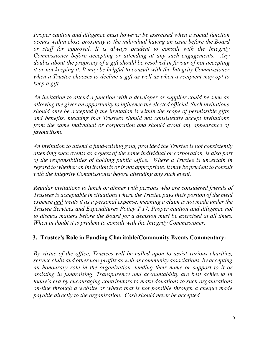*Proper caution and diligence must however be exercised when a social function occurs within close proximity to the individual having an issue before the Board or staff for approval. It is always prudent to consult with the Integrity Commissioner before accepting or attending at any such engagements. Any doubts about the propriety of a gift should be resolved in favour of not accepting it or not keeping it. It may be helpful to consult with the Integrity Commissioner when a Trustee chooses to decline a gift as well as when a recipient may opt to keep a gift.*

*An invitation to attend a function with a developer or supplier could be seen as allowing the giver an opportunity to influence the elected official. Such invitations should only be accepted if the invitation is within the scope of permissible gifts and benefits, meaning that Trustees should not consistently accept invitations from the same individual or corporation and should avoid any appearance of favouritism*.

*An invitation to attend a fund-raising gala, provided the Trustee is not consistently attending such events as a guest of the same individual or corporation, is also part of the responsibilities of holding public office. Where a Trustee is uncertain in regard to whether an invitation is or is not appropriate, it may be prudent to consult with the Integrity Commissioner before attending any such event.*

*Regular invitations to lunch or dinner with persons who are considered friends of Trustees is acceptable in situations where the Trustee pays their portion of the meal expense and treats it as a personal expense, meaning a claim is not made under the Trustee Services and Expenditures Policy T.17. Proper caution and diligence not to discuss matters before the Board for a decision must be exercised at all times. When in doubt it is prudent to consult with the Integrity Commissioner.*

# **3. Trustee's Role in Funding Charitable/Community Events Commentary:**

*By virtue of the office, Trustees will be called upon to assist various charities, service clubs and other non-profits as well as community associations, by accepting an honourary role in the organization, lending their name or support to it or assisting in fundraising. Transparency and accountability are best achieved in today's era by encouraging contributors to make donations to such organizations on-line through a website or where that is not possible through a cheque made payable directly to the organization. Cash should never be accepted.*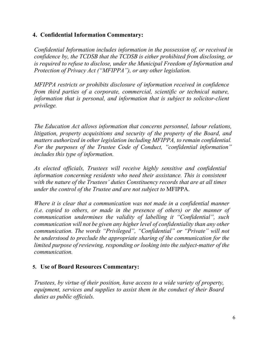# **4. Confidential Information Commentary:**

*Confidential Information includes information in the possession of, or received in confidence by, the TCDSB that the TCDSB is either prohibited from disclosing, or is required to refuse to disclose, under the Municipal Freedom of Information and Protection of Privacy Act ("MFIPPA"), or any other legislation.*

*MFIPPA restricts or prohibits disclosure of information received in confidence from third parties of a corporate, commercial, scientific or technical nature, information that is personal, and information that is subject to solicitor-client privilege.*

*The Education Act allows information that concerns personnel, labour relations, litigation, property acquisitions and security of the property of the Board, and matters authorized in other legislation including MFIPPA, to remain confidential. For the purposes of the Trustee Code of Conduct, "confidential information" includes this type of information.*

*As elected officials, Trustees will receive highly sensitive and confidential information concerning residents who need their assistance. This is consistent with the nature of the Trustees' duties Constituency records that are at all times under the control of the Trustee and are not subject to* MFIPPA.

*Where it is clear that a communication was not made in a confidential manner (i.e. copied to others, or made in the presence of others) or the manner of communication undermines the validity of labelling it "Confidential", such communication will not be given any higher level of confidentiality than any other communication. The words "Privileged", "Confidential" or "Private" will not be understood to preclude the appropriate sharing of the communication for the limited purpose of reviewing, responding or looking into the subject-matter of the communication.*

# **5. Use of Board Resources Commentary:**

*Trustees, by virtue of their position, have access to a wide variety of property, equipment, services and supplies to assist them in the conduct of their Board duties as public officials.*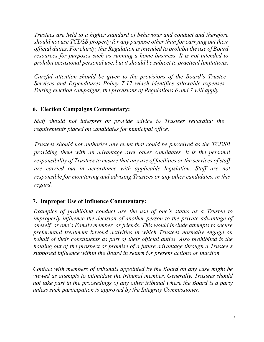*Trustees are held to a higher standard of behaviour and conduct and therefore should not use TCDSB property for any purpose other than for carrying out their official duties. For clarity, this Regulation is intended to prohibit the use of Board resources for purposes such as running a home business. It is not intended to prohibit occasional personal use, but it should be subject to practical limitations.*

*Careful attention should be given to the provisions of the Board's Trustee Services and Expenditures Policy T.17 which identifies allowable expenses. During election campaigns, the provisions of Regulations 6 and 7 will apply.*

# **6. Election Campaigns Commentary:**

*Staff should not interpret or provide advice to Trustees regarding the requirements placed on candidates for municipal office.*

*Trustees should not authorize any event that could be perceived as the TCDSB providing them with an advantage over other candidates. It is the personal responsibility of Trustees to ensure that any use of facilities or the services of staff are carried out in accordance with applicable legislation. Staff are not responsible for monitoring and advising Trustees or any other candidates, in this regard.*

# **7. Improper Use of Influence Commentary:**

*Examples of prohibited conduct are the use of one's status as a Trustee to improperly influence the decision of another person to the private advantage of oneself, or one's Family member, or friends. This would include attempts to secure preferential treatment beyond activities in which Trustees normally engage on behalf of their constituents as part of their official duties. Also prohibited is the holding out of the prospect or promise of a future advantage through a Trustee's supposed influence within the Board in return for present actions or inaction.*

*Contact with members of tribunals appointed by the Board on any case might be viewed as attempts to intimidate the tribunal member. Generally, Trustees should not take part in the proceedings of any other tribunal where the Board is a party unless such participation is approved by the Integrity Commissioner.*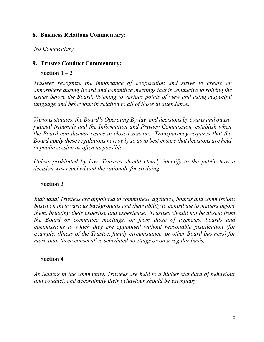#### **8. Business Relations Commentary:**

*No Commentary* 

# **9. Trustee Conduct Commentary:**

**Section 1 – 2** 

*Trustees recognize the importance of cooperation and strive to create an atmosphere during Board and committee meetings that is conducive to solving the issues before the Board, listening to various points of view and using respectful language and behaviour in relation to all of those in attendance.*

*Various statutes, the Board's Operating By-law and decisions by courts and quasijudicial tribunals and the Information and Privacy Commission, establish when the Board can discuss issues in closed session. Transparency requires that the Board apply these regulations narrowly so as to best ensure that decisions are held in public session as often as possible.*

*Unless prohibited by law, Trustees should clearly identify to the public how a decision was reached and the rationale for so doing.*

# **Section 3**

*Individual Trustees are appointed to committees, agencies, boards and commissions based on their various backgrounds and their ability to contribute to matters before them, bringing their expertise and experience. Trustees should not be absent from the Board or committee meetings, or from those of agencies, boards and commissions to which they are appointed without reasonable justification (for example, illness of the Trustee, family circumstance, or other Board business) for more than three consecutive scheduled meetings or on a regular basis.*

# **Section 4**

*As leaders in the community, Trustees are held to a higher standard of behaviour and conduct, and accordingly their behaviour should be exemplary.*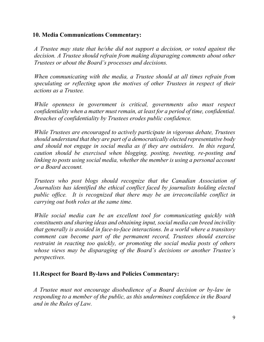## **10. Media Communications Commentary:**

*A Trustee may state that he/she did not support a decision, or voted against the decision. A Trustee should refrain from making disparaging comments about other Trustees or about the Board's processes and decisions.*

*When communicating with the media, a Trustee should at all times refrain from speculating or reflecting upon the motives of other Trustees in respect of their actions as a Trustee.*

*While openness in government is critical, governments also must respect confidentiality when a matter must remain, at least for a period of time, confidential. Breaches of confidentiality by Trustees erodes public confidence.*

*While Trustees are encouraged to actively participate in vigorous debate, Trustees should understand that they are part of a democratically elected representative body and should not engage in social media as if they are outsiders. In this regard, caution should be exercised when blogging, posting, tweeting, re-posting and linking to posts using social media, whether the member is using a personal account or a Board account.* 

*Trustees who post blogs should recognize that the Canadian Association of Journalists has identified the ethical conflict faced by journalists holding elected public office. It is recognized that there may be an irreconcilable conflict in carrying out both roles at the same time.* 

*While social media can be an excellent tool for communicating quickly with constituents and sharing ideas and obtaining input, social media can breed incivility that generally is avoided in face-to-face interactions. In a world where a transitory comment can become part of the permanent record, Trustees should exercise restraint in reacting too quickly, or promoting the social media posts of others whose views may be disparaging of the Board's decisions or another Trustee's perspectives.* 

#### **11.Respect for Board By-laws and Policies Commentary:**

*A Trustee must not encourage disobedience of a Board decision or by-law in responding to a member of the public, as this undermines confidence in the Board and in the Rules of Law.*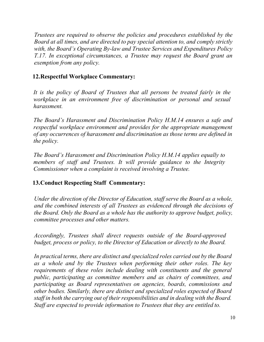*Trustees are required to observe the policies and procedures established by the Board at all times, and are directed to pay special attention to, and comply strictly with, the Board's Operating By-law and Trustee Services and Expenditures Policy T.17. In exceptional circumstances, a Trustee may request the Board grant an exemption from any policy.*

# **12.Respectful Workplace Commentary:**

*It is the policy of Board of Trustees that all persons be treated fairly in the workplace in an environment free of discrimination or personal and sexual harassment.*

*The Board's Harassment and Discrimination Policy H.M.14 ensures a safe and respectful workplace environment and provides for the appropriate management of any occurrences of harassment and discrimination as those terms are defined in the policy.*

*The Board's Harassment and Discrimination Policy H.M.14 applies equally to members of staff and Trustees. It will provide guidance to the Integrity Commissioner when a complaint is received involving a Trustee.*

# **13.Conduct Respecting Staff Commentary:**

*Under the direction of the Director of Education, staff serve the Board as a whole, and the combined interests of all Trustees as evidenced through the decisions of the Board. Only the Board as a whole has the authority to approve budget, policy, committee processes and other matters.*

*Accordingly, Trustees shall direct requests outside of the Board-approved budget, process or policy, to the Director of Education or directly to the Board.*

*In practical terms, there are distinct and specialized roles carried out by the Board as a whole and by the Trustees when performing their other roles. The key requirements of these roles include dealing with constituents and the general public, participating as committee members and as chairs of committees, and participating as Board representatives on agencies, boards, commissions and other bodies. Similarly, there are distinct and specialized roles expected of Board staff in both the carrying out of their responsibilities and in dealing with the Board. Staff are expected to provide information to Trustees that they are entitled to.*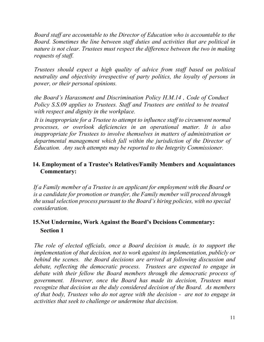*Board staff are accountable to the Director of Education who is accountable to the Board. Sometimes the line between staff duties and activities that are political in nature is not clear. Trustees must respect the difference between the two in making requests of staff.*

*Trustees should expect a high quality of advice from staff based on political neutrality and objectivity irrespective of party politics, the loyalty of persons in power, or their personal opinions.*

*the Board's Harassment and Discrimination Policy H.M.14 , Code of Conduct Policy S.S.09 applies to Trustees. Staff and Trustees are entitled to be treated with respect and dignity in the workplace.*

*It is inappropriate for a Trustee to attempt to influence staff to circumvent normal processes, or overlook deficiencies in an operational matter. It is also inappropriate for Trustees to involve themselves in matters of administration or departmental management which fall within the jurisdiction of the Director of Education. Any such attempts may be reported to the Integrity Commissioner.*

#### **14. Employment of a Trustee's Relatives/Family Members and Acquaintances Commentary:**

*If a Family member of a Trustee is an applicant for employment with the Board or is a candidate for promotion or transfer, the Family member will proceed through the usual selection process pursuant to the Board's hiring policies, with no special consideration.*

# **15.Not Undermine, Work Against the Board's Decisions Commentary: Section 1**

*The role of elected officials, once a Board decision is made, is to support the implementation of that decision, not to work against its implementation, publicly or behind the scenes. the Board decisions are arrived at following discussion and debate, reflecting the democratic process. Trustees are expected to engage in debate with their fellow the Board members through the democratic process of government. However, once the Board has made its decision, Trustees must recognize that decision as the duly considered decision of the Board. As members of that body, Trustees who do not agree with the decision - are not to engage in activities that seek to challenge or undermine that decision.*